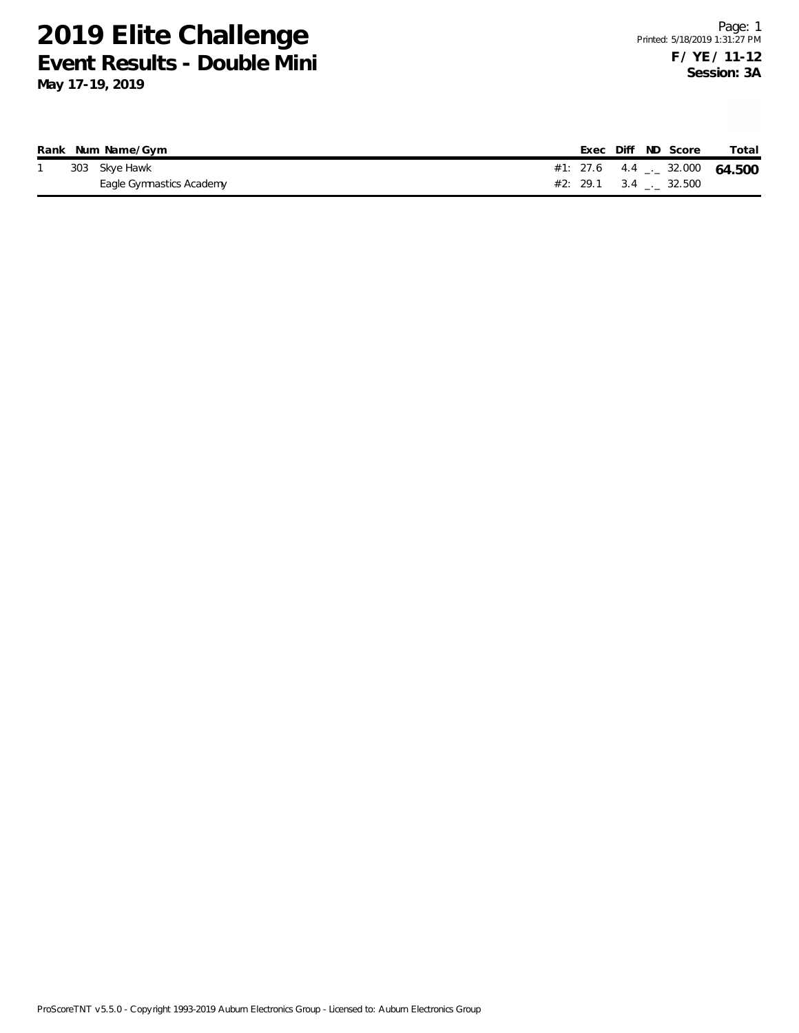|  | Rank Num Name/Gym        |                                 |  | Exec Diff ND Score | Total |
|--|--------------------------|---------------------------------|--|--------------------|-------|
|  | 303 Skye Hawk            | #1: 27.6 4.4 $-$ 32.000 64.500  |  |                    |       |
|  | Eagle Gymnastics Academy | $#2: 29.1 \t 3.4 \t  \t 32.500$ |  |                    |       |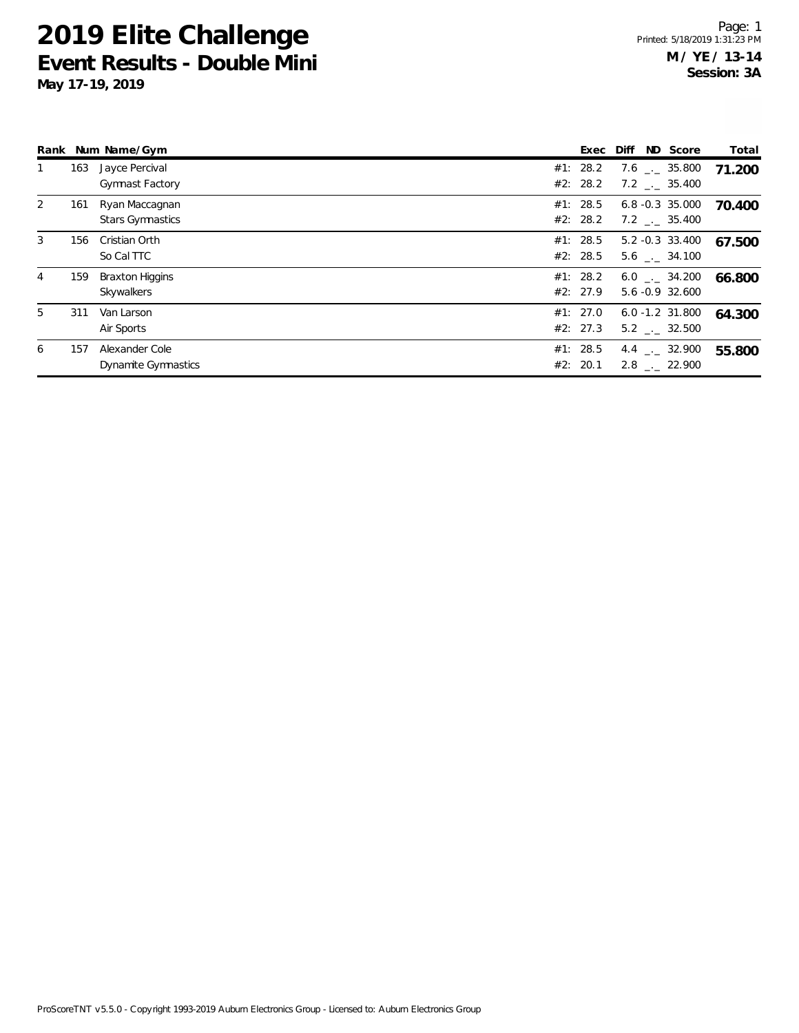|   |     | Rank Num Name/Gym                         | Exec                 | Diff | ND Score                                 | Total  |
|---|-----|-------------------------------------------|----------------------|------|------------------------------------------|--------|
|   | 163 | Jayce Percival<br><b>Gymnast Factory</b>  | #1: 28.2<br>#2: 28.2 |      | $7.6$ $_{--}$ 35.800<br>$7.2$ _._ 35.400 | 71.200 |
| 2 | 161 | Ryan Maccagnan<br><b>Stars Gymnastics</b> | #1: 28.5<br>#2: 28.2 |      | $6.8 - 0.3$ 35.000<br>$7.2$ _._ 35.400   | 70.400 |
| 3 | 156 | Cristian Orth<br>So Cal TTC               | #1: 28.5<br>#2: 28.5 |      | 5.2 -0.3 33.400<br>5.6 . 34.100          | 67.500 |
| 4 | 159 | <b>Braxton Higgins</b><br>Skywalkers      | #1: 28.2<br>#2: 27.9 |      | $6.0$ $-.$ 34.200<br>5.6 -0.9 32.600     | 66.800 |
| 5 | 311 | Van Larson<br>Air Sports                  | #1: 27.0<br>#2: 27.3 |      | $6.0 - 1.2$ 31.800<br>$5.2$ $-.$ 32.500  | 64.300 |
| 6 | 157 | Alexander Cole<br>Dynamite Gymnastics     | #1: 28.5<br>#2: 20.1 |      | 4.4 $\qquad$ 32.900<br>2.8 . 22.900      | 55.800 |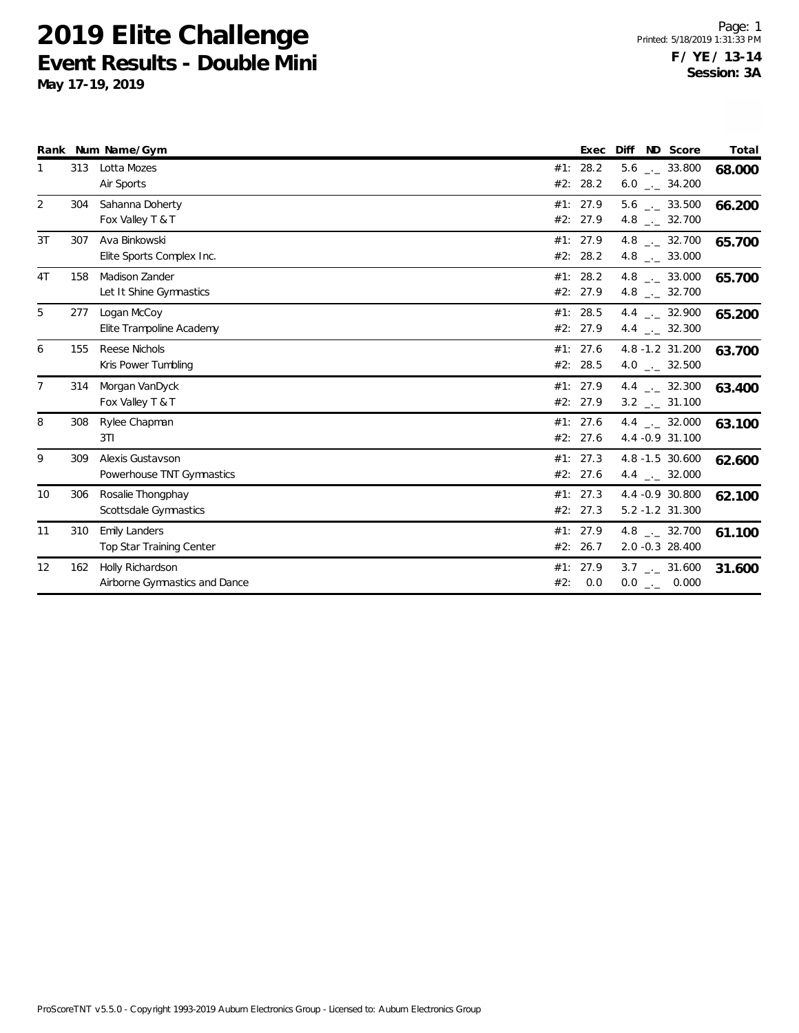|                |     | Rank Num Name/Gym                                 |     | Exec                 | ND Score<br>Diff                                           | Total  |
|----------------|-----|---------------------------------------------------|-----|----------------------|------------------------------------------------------------|--------|
|                | 313 | Lotta Mozes<br>Air Sports                         |     | #1: 28.2<br>#2: 28.2 | $5.6$ _ 33.800<br>$6.0$ _ 34.200                           | 68.000 |
| 2              | 304 | Sahanna Doherty<br>Fox Valley T & T               |     | #1: 27.9<br>#2: 27.9 | $5.6$ $_{\leftarrow}$ 33.500<br>4.8 $_{\leftarrow}$ 32.700 | 66.200 |
| 3T             | 307 | Ava Binkowski<br>Elite Sports Complex Inc.        |     | #1: 27.9<br>#2: 28.2 | 4.8 $_{\leftarrow}$ 32.700<br>4.8 $\_\_$ 33.000            | 65.700 |
| 4T             | 158 | Madison Zander<br>Let It Shine Gymnastics         |     | #1: 28.2<br>#2: 27.9 | 4.8 $_{\leftarrow}$ 33.000<br>4.8 $\qquad$ 32.700          | 65.700 |
| 5              | 277 | Logan McCoy<br>Elite Trampoline Academy           |     | #1: 28.5<br>#2: 27.9 | 4.4 $\frac{1}{2}$ 32.900<br>4.4 $\frac{1}{2}$ 32.300       | 65.200 |
| 6              | 155 | Reese Nichols<br>Kris Power Tumbling              |     | #1: 27.6<br>#2: 28.5 | 4.8 -1.2 31.200<br>4.0 $_{\leftarrow}$ 32.500              | 63.700 |
| $\overline{7}$ | 314 | Morgan VanDyck<br>Fox Valley T & T                |     | #1: 27.9<br>#2: 27.9 | 4.4 $\qquad$ 32.300<br>$3.2$ $_{\leftarrow}$ 31.100        | 63.400 |
| 8              | 308 | Rylee Chapman<br>3T1                              |     | #1: 27.6<br>#2: 27.6 | 4.4 $\qquad$ 32.000<br>4.4 - 0.9 31.100                    | 63.100 |
| 9              | 309 | Alexis Gustavson<br>Powerhouse TNT Gymnastics     |     | #1: 27.3<br>#2: 27.6 | 4.8 -1.5 30.600<br>4.4 $\qquad$ 32.000                     | 62.600 |
| 10             | 306 | Rosalie Thongphay<br>Scottsdale Gymnastics        |     | #1: 27.3<br>#2: 27.3 | 4.4 -0.9 30.800<br>$5.2 - 1.2$ 31.300                      | 62.100 |
| 11             | 310 | <b>Emily Landers</b><br>Top Star Training Center  |     | #1: 27.9<br>#2: 26.7 | 4.8 $\_\_$ 32.700<br>2.0 -0.3 28.400                       | 61.100 |
| 12             | 162 | Holly Richardson<br>Airborne Gymnastics and Dance | #2: | #1: 27.9<br>0.0      | $3.7$ $_{\leftarrow}$ 31.600<br>$0.0$ _._ 0.000            | 31.600 |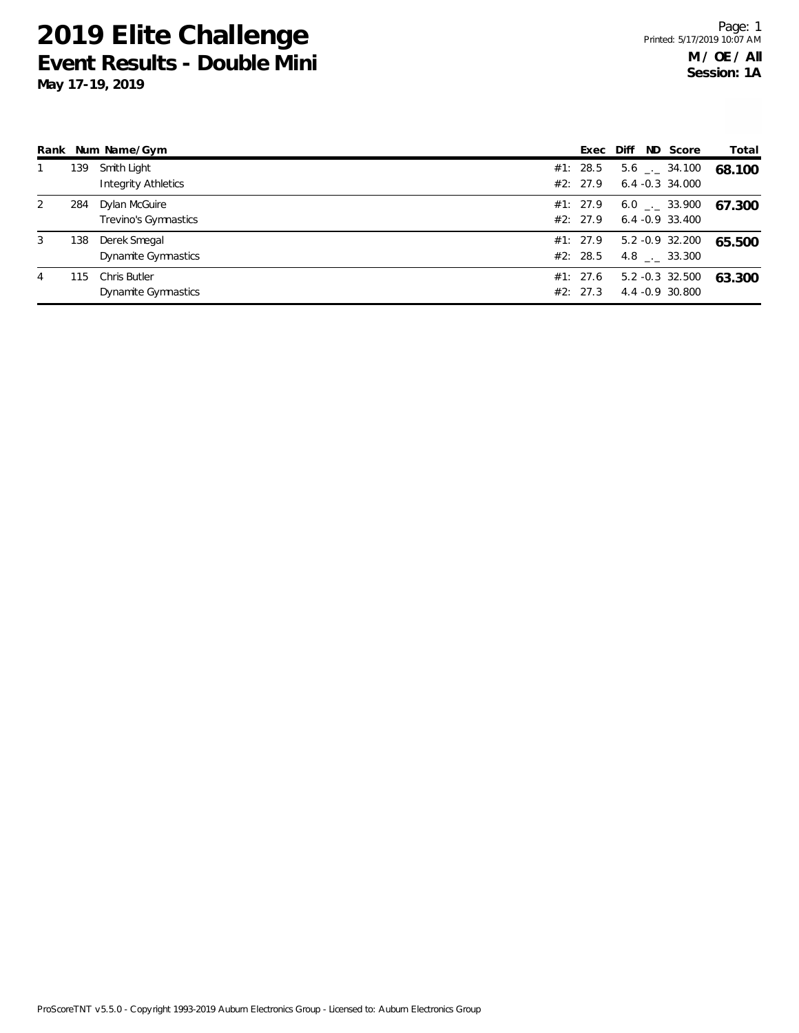**May 17-19, 2019**

|   |     | Rank Num Name/Gym                         | Exec                 | ND Score<br>Diff                                | Total  |
|---|-----|-------------------------------------------|----------------------|-------------------------------------------------|--------|
|   | 139 | Smith Light<br><b>Integrity Athletics</b> | #1: 28.5<br>#2: 27.9 | $5.6$ $_{\sim}$ 34.100<br>$6.4 - 0.3$ 34.000    | 68.100 |
| 2 | 284 | Dylan McGuire<br>Trevino's Gymnastics     | #1: 27.9<br>#2: 27.9 | $6.0$ $_{\leftarrow}$ 33.900<br>6.4 -0.9 33.400 | 67.300 |
| 3 | 138 | Derek Smegal<br>Dynamite Gymnastics       | #1: 27.9<br>#2: 28.5 | 5.2 -0.9 32.200<br>4.8 . 33.300                 | 65.500 |
| 4 | 115 | Chris Butler<br>Dynamite Gymnastics       | #1: 27.6<br>#2: 27.3 | 5.2 -0.3 32.500<br>4.4 - 0.9 30.800             | 63.300 |

ProScoreTNT v5.5.0 - Copyright 1993-2019 Auburn Electronics Group - Licensed to: Auburn Electronics Group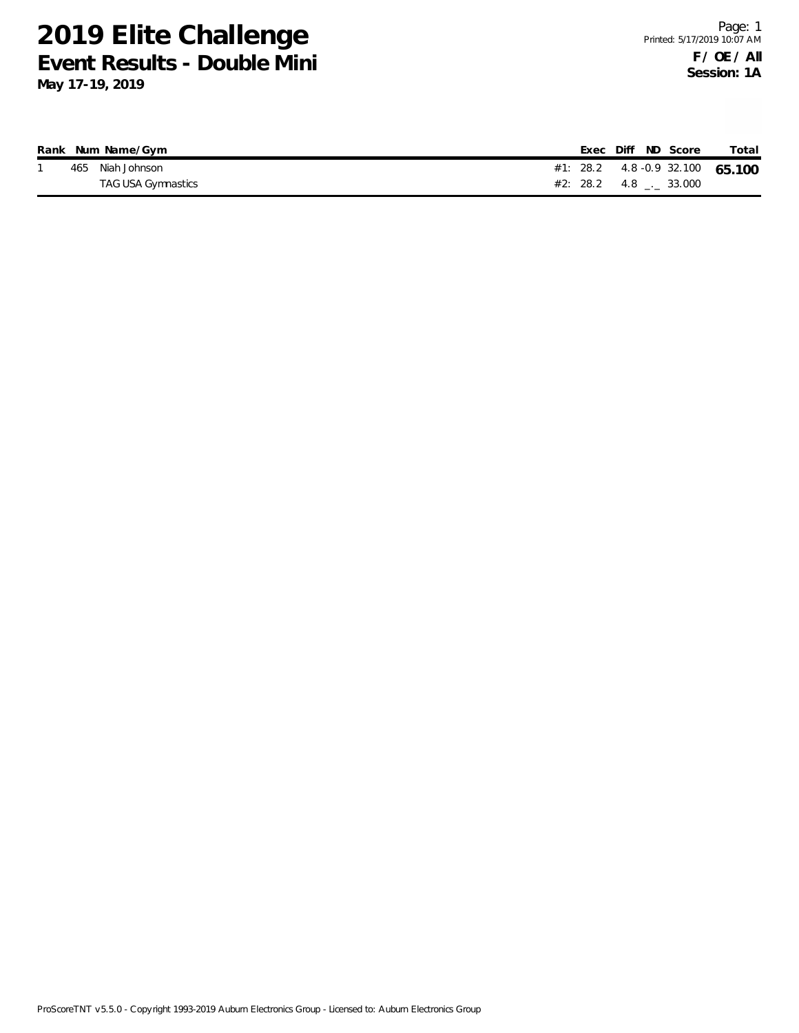|  | Rank Num Name/Gym  |                                 |  | Exec Diff ND Score | Total |
|--|--------------------|---------------------------------|--|--------------------|-------|
|  | 465 Niah Johnson   | #1: 28.2 4.8 -0.9 32.100 65.100 |  |                    |       |
|  | TAG USA Gymnastics | $#2: 28.2 \t 4.8 \t - 33.000$   |  |                    |       |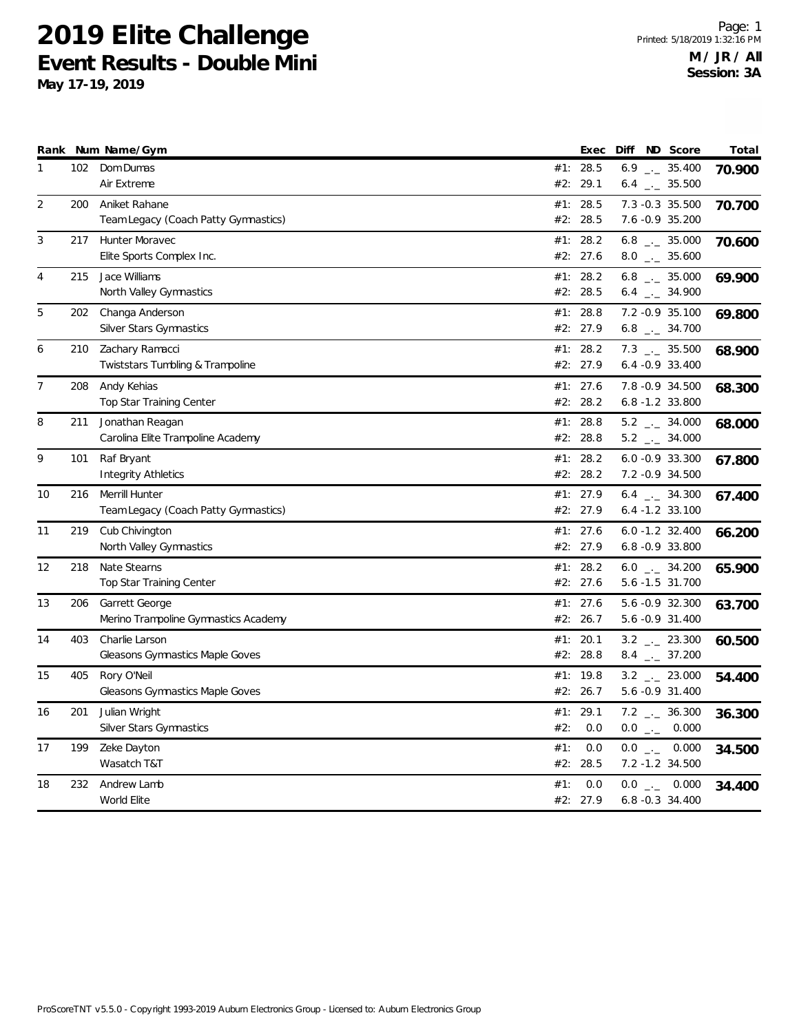|                |     | Rank Num Name/Gym                      |     | Exec     | Diff ND Score                  |       | Total  |
|----------------|-----|----------------------------------------|-----|----------|--------------------------------|-------|--------|
| 1              | 102 | Dom Dumas                              |     | #1: 28.5 | 6.9 $_{\leftarrow}$ 35.400     |       | 70.900 |
|                |     | Air Extreme                            |     | #2: 29.1 | $6.4$ $\_\_$ 35.500            |       |        |
| 2              | 200 | Aniket Rahane                          |     | #1: 28.5 | 7.3 -0.3 35.500                |       | 70.700 |
|                |     | Team Legacy (Coach Patty Gymnastics)   |     | #2: 28.5 | 7.6 -0.9 35.200                |       |        |
| 3              | 217 | Hunter Moravec                         | #1: | 28.2     | 6.8 $_{\leftarrow}$ 35.000     |       | 70.600 |
|                |     | Elite Sports Complex Inc.              |     | #2: 27.6 | $8.0$ __ 35.600                |       |        |
| $\overline{4}$ | 215 | Jace Williams                          |     | #1: 28.2 | $6.8$ $_{\leftarrow -}$ 35.000 |       | 69.900 |
|                |     | North Valley Gymnastics                |     | #2: 28.5 | $6.4$ $-.$ 34.900              |       |        |
| 5              | 202 | Changa Anderson                        |     | #1: 28.8 | 7.2 -0.9 35.100                |       | 69.800 |
|                |     | Silver Stars Gymnastics                |     | #2: 27.9 | 6.8 $_{\leftarrow}$ 34.700     |       |        |
| 6              | 210 | Zachary Ramacci                        |     | #1: 28.2 | $7.3$ $_{\leftarrow}$ 35.500   |       | 68.900 |
|                |     | Twiststars Tumbling & Trampoline       | #2: | 27.9     | $6.4 -0.933.400$               |       |        |
| 7              | 208 | Andy Kehias                            |     | #1: 27.6 | 7.8 -0.9 34.500                |       | 68.300 |
|                |     | <b>Top Star Training Center</b>        | #2: | 28.2     | 6.8 -1.2 33.800                |       |        |
| 8              | 211 | Jonathan Reagan                        | #1: | 28.8     | $5.2$ $_{-}$ 34.000            |       | 68.000 |
|                |     | Carolina Elite Trampoline Academy      |     | #2: 28.8 | $5.2$ _ $-34.000$              |       |        |
| 9              | 101 | Raf Bryant                             | #1: | 28.2     | $6.0 - 0.9 33.300$             |       | 67.800 |
|                |     | Integrity Athletics                    |     | #2: 28.2 | 7.2 - 0.9 34.500               |       |        |
| 10             | 216 | Merrill Hunter                         |     | #1: 27.9 | $6.4$ _. 34.300                |       | 67.400 |
|                |     | Team Legacy (Coach Patty Gymnastics)   |     | #2: 27.9 | $6.4 - 1.2$ 33.100             |       |        |
| 11             | 219 | Cub Chivington                         |     | #1: 27.6 | $6.0 - 1.2$ 32.400             |       | 66.200 |
|                |     | North Valley Gymnastics                |     | #2: 27.9 | 6.8 - 0.9 33.800               |       |        |
| 12             | 218 | Nate Stearns                           |     | #1: 28.2 | $6.0$ $_{--}$ 34.200           |       | 65.900 |
|                |     | Top Star Training Center               |     | #2: 27.6 | 5.6 -1.5 31.700                |       |        |
| 13             | 206 | Garrett George                         |     | #1: 27.6 | 5.6 -0.9 32.300                |       | 63.700 |
|                |     | Merino Trampoline Gymnastics Academy   |     | #2: 26.7 | 5.6 -0.9 31.400                |       |        |
| 14             | 403 | Charlie Larson                         | #1: | 20.1     | $3.2$ $-23.300$                |       | 60.500 |
|                |     | <b>Gleasons Gymnastics Maple Goves</b> |     | #2: 28.8 | $8.4$ $_{\leftarrow}$ 37.200   |       |        |
| 15             | 405 | Rory O'Neil                            | #1: | 19.8     | $3.2$ $_{\leftarrow}$ 23.000   |       | 54.400 |
|                |     | Gleasons Gymnastics Maple Goves        |     | #2: 26.7 | 5.6 -0.9 31.400                |       |        |
| 16             | 201 | Julian Wright                          | #1: | 29.1     | $7.2$ $_{\leftarrow}$ 36.300   |       | 36.300 |
|                |     | Silver Stars Gymnastics                | #2: | 0.0      | $0.0$ --                       | 0.000 |        |
| 17             | 199 | Zeke Dayton                            | #1: | 0.0      | $0.0$ $_{-}$                   | 0.000 | 34.500 |
|                |     | Wasatch T&T                            | #2: | 28.5     | 7.2 -1.2 34.500                |       |        |
| 18             | 232 | Andrew Lamb                            | #1: | 0.0      | $0.0$ _._ 0.000                |       | 34.400 |
|                |     | World Elite                            |     | #2: 27.9 | $6.8 - 0.3$ 34.400             |       |        |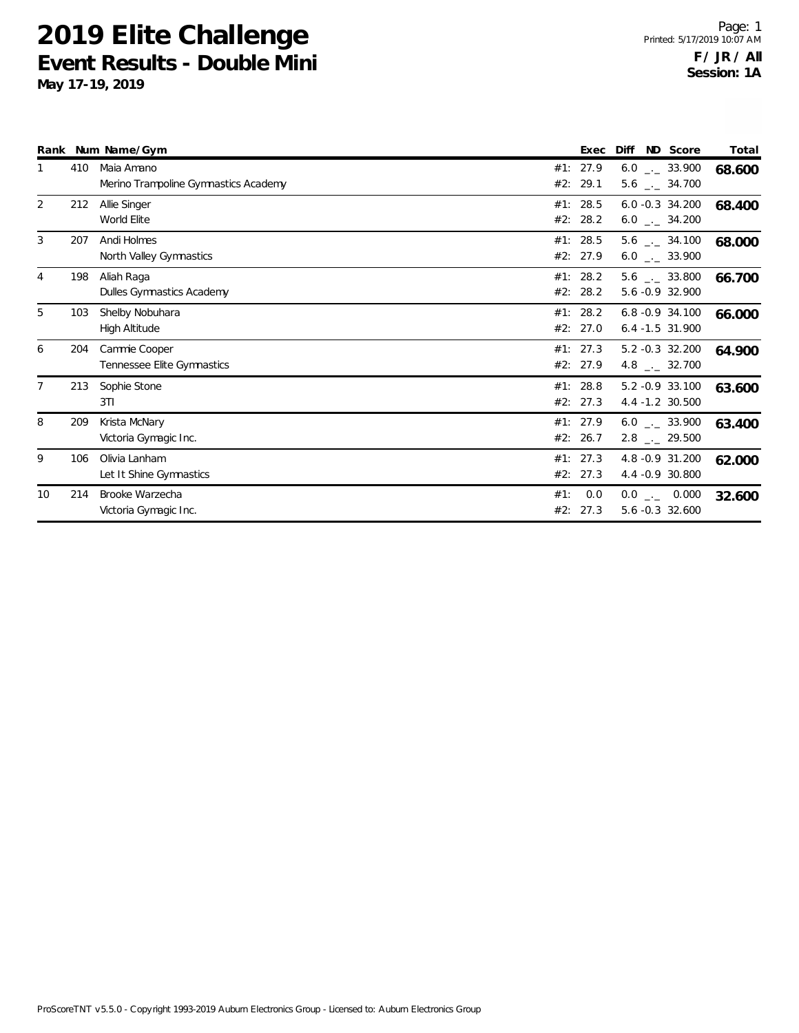|                |     | Rank Num Name/Gym                                  |     | Exec                 | Diff<br>ND Score                                             | Total  |
|----------------|-----|----------------------------------------------------|-----|----------------------|--------------------------------------------------------------|--------|
| 1              | 410 | Maia Amano<br>Merino Trampoline Gymnastics Academy |     | #1: 27.9<br>#2: 29.1 | $6.0$ $_{\leftarrow}$ 33.900<br>$5.6$ $_{\leftarrow}$ 34.700 | 68.600 |
| 2              | 212 | Allie Singer<br>World Elite                        |     | #1: 28.5<br>#2: 28.2 | $6.0 - 0.3$ 34.200<br>$6.0$ _ 34.200                         | 68.400 |
| 3              | 207 | Andi Holmes<br>North Valley Gymnastics             |     | #1: 28.5<br>#2: 27.9 | $5.6$ _._ 34.100<br>$6.0$ _ 33.900                           | 68.000 |
| 4              | 198 | Aliah Raga<br>Dulles Gymnastics Academy            |     | #1: 28.2<br>#2: 28.2 | $5.6$ __ 33.800<br>5.6 -0.9 32.900                           | 66.700 |
| 5              | 103 | Shelby Nobuhara<br>High Altitude                   | #2: | #1: 28.2<br>27.0     | $6.8 - 0.9$ 34.100<br>$6.4 - 1.5$ 31.900                     | 66.000 |
| 6              | 204 | Cammie Cooper<br>Tennessee Elite Gymnastics        |     | #1: 27.3<br>#2: 27.9 | 5.2 -0.3 32.200<br>4.8 $\qquad$ 32.700                       | 64.900 |
| $\overline{7}$ | 213 | Sophie Stone<br>3T1                                |     | #1: 28.8<br>#2: 27.3 | 5.2 -0.9 33.100<br>4.4 -1.2 30.500                           | 63.600 |
| 8              | 209 | Krista McNary<br>Victoria Gymagic Inc.             |     | #1: 27.9<br>#2: 26.7 | $6.0$ _ 33.900<br>$2.8$ $_{\leftarrow}$ 29.500               | 63.400 |
| 9              | 106 | Olivia Lanham<br>Let It Shine Gymnastics           |     | #1: 27.3<br>#2: 27.3 | 4.8 - 0.9 31.200<br>4.4 -0.9 30.800                          | 62.000 |
| 10             | 214 | Brooke Warzecha<br>Victoria Gymagic Inc.           | #1: | 0.0<br>#2: 27.3      | $0.0$ _ 0.000<br>5.6 -0.3 32.600                             | 32.600 |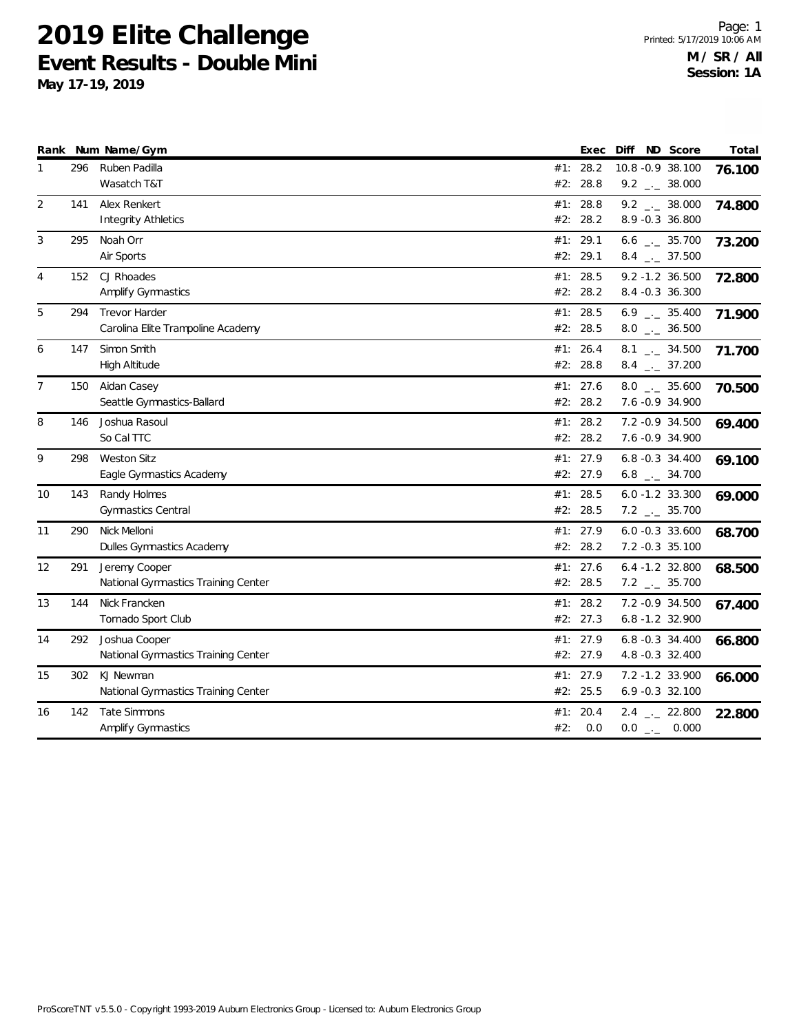|                |     | Rank Num Name/Gym                   |          | Exec | Diff ND Score                | Total  |
|----------------|-----|-------------------------------------|----------|------|------------------------------|--------|
| 1              | 296 | Ruben Padilla                       | #1: 28.2 |      | 10.8 -0.9 38.100             | 76.100 |
|                |     | Wasatch T&T                         | #2:      | 28.8 | $9.2$ $_{\leftarrow}$ 38.000 |        |
| 2              | 141 | Alex Renkert                        | #1:      | 28.8 | $9.2$ $-2$ 38.000            | 74.800 |
|                |     | <b>Integrity Athletics</b>          | #2:      | 28.2 | 8.9 -0.3 36.800              |        |
| 3              | 295 | Noah Orr                            | #1: 29.1 |      | 6.6 $_{\leftarrow}$ 35.700   | 73.200 |
|                |     | Air Sports                          | #2: 29.1 |      | $8.4$ $_{-1}$ 37.500         |        |
| 4              | 152 | CJ Rhoades                          | #1: 28.5 |      | $9.2 - 1.2$ 36.500           | 72.800 |
|                |     | <b>Amplify Gymnastics</b>           | #2: 28.2 |      | 8.4 -0.3 36.300              |        |
| 5              | 294 | <b>Trevor Harder</b>                | #1:      | 28.5 | $6.9$ $_{\leftarrow}$ 35.400 | 71.900 |
|                |     | Carolina Elite Trampoline Academy   | #2: 28.5 |      | $8.0$ __ 36.500              |        |
| 6              | 147 | Simon Smith                         | #1:      | 26.4 | $8.1$ $-2$ 34.500            | 71.700 |
|                |     | <b>High Altitude</b>                | #2: 28.8 |      | $8.4$ $_{-}$ 37.200          |        |
| $\overline{7}$ | 150 | Aidan Casey                         | #1: 27.6 |      | $8.0$ _ 35.600               | 70.500 |
|                |     | Seattle Gymnastics-Ballard          | #2: 28.2 |      | 7.6 -0.9 34.900              |        |
| 8              | 146 | Joshua Rasoul                       | #1: 28.2 |      | 7.2 - 0.9 34.500             | 69.400 |
|                |     | So Cal TTC                          | #2: 28.2 |      | 7.6 -0.9 34.900              |        |
| 9              | 298 | <b>Weston Sitz</b>                  | #1:      | 27.9 | 6.8 -0.3 34.400              | 69.100 |
|                |     | Eagle Gymnastics Academy            | #2: 27.9 |      | $6.8$ $_{-}$ 34.700          |        |
| 10             | 143 | Randy Holmes                        | #1: 28.5 |      | $6.0 - 1.2$ 33.300           | 69.000 |
|                |     | <b>Gymnastics Central</b>           | #2: 28.5 |      | $7.2$ $_{-}$ 35.700          |        |
| 11             | 290 | Nick Melloni                        | #1: 27.9 |      | $6.0 -0.3$ 33.600            | 68.700 |
|                |     | Dulles Gymnastics Academy           | #2: 28.2 |      | 7.2 -0.3 35.100              |        |
| 12             | 291 | Jeremy Cooper                       | #1: 27.6 |      | $6.4 - 1.2$ 32.800           | 68.500 |
|                |     | National Gymnastics Training Center | #2: 28.5 |      | $7.2$ $_{-1}$ 35.700         |        |
| 13             | 144 | Nick Francken                       | #1: 28.2 |      | 7.2 -0.9 34.500              | 67.400 |
|                |     | Tornado Sport Club                  | #2: 27.3 |      | 6.8 -1.2 32.900              |        |
| 14             | 292 | Joshua Cooper                       | #1: 27.9 |      | 6.8 -0.3 34.400              | 66.800 |
|                |     | National Gymnastics Training Center | #2: 27.9 |      | 4.8 -0.3 32.400              |        |
| 15             | 302 | KJ Newman                           | #1: 27.9 |      | 7.2 -1.2 33.900              | 66.000 |
|                |     | National Gymnastics Training Center | #2: 25.5 |      | 6.9 -0.3 32.100              |        |
| 16             | 142 | Tate Simmons                        | #1:      | 20.4 | $2.4$ $-22.800$              | 22.800 |
|                |     | Amplify Gymnastics                  | #2:      | 0.0  | $0.0$ _._ 0.000              |        |